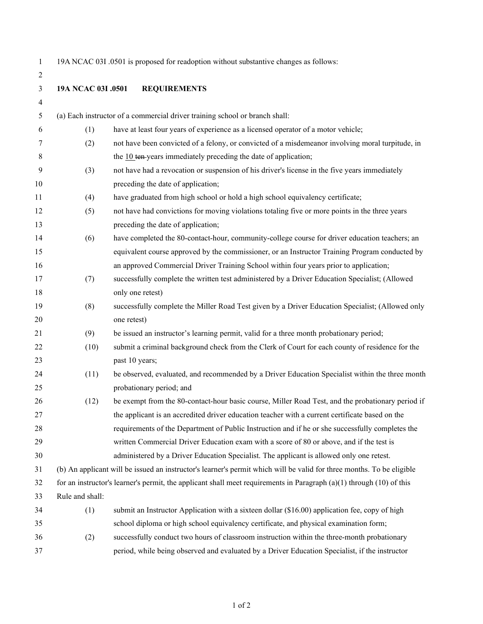19A NCAC 03I .0501 is proposed for readoption without substantive changes as follows:

**19A NCAC 03I .0501 REQUIREMENTS**

| 4  |                 |                                                                                                                          |
|----|-----------------|--------------------------------------------------------------------------------------------------------------------------|
| 5  |                 | (a) Each instructor of a commercial driver training school or branch shall:                                              |
| 6  | (1)             | have at least four years of experience as a licensed operator of a motor vehicle;                                        |
| 7  | (2)             | not have been convicted of a felony, or convicted of a misdemeanor involving moral turpitude, in                         |
| 8  |                 | the $10$ ten-years immediately preceding the date of application;                                                        |
| 9  | (3)             | not have had a revocation or suspension of his driver's license in the five years immediately                            |
| 10 |                 | preceding the date of application;                                                                                       |
| 11 | (4)             | have graduated from high school or hold a high school equivalency certificate;                                           |
| 12 | (5)             | not have had convictions for moving violations totaling five or more points in the three years                           |
| 13 |                 | preceding the date of application;                                                                                       |
| 14 | (6)             | have completed the 80-contact-hour, community-college course for driver education teachers; an                           |
| 15 |                 | equivalent course approved by the commissioner, or an Instructor Training Program conducted by                           |
| 16 |                 | an approved Commercial Driver Training School within four years prior to application;                                    |
| 17 | (7)             | successfully complete the written test administered by a Driver Education Specialist; (Allowed                           |
| 18 |                 | only one retest)                                                                                                         |
| 19 | (8)             | successfully complete the Miller Road Test given by a Driver Education Specialist; (Allowed only                         |
| 20 |                 | one retest)                                                                                                              |
| 21 | (9)             | be issued an instructor's learning permit, valid for a three month probationary period;                                  |
| 22 | (10)            | submit a criminal background check from the Clerk of Court for each county of residence for the                          |
| 23 |                 | past 10 years;                                                                                                           |
| 24 | (11)            | be observed, evaluated, and recommended by a Driver Education Specialist within the three month                          |
| 25 |                 | probationary period; and                                                                                                 |
| 26 | (12)            | be exempt from the 80-contact-hour basic course, Miller Road Test, and the probationary period if                        |
| 27 |                 | the applicant is an accredited driver education teacher with a current certificate based on the                          |
| 28 |                 | requirements of the Department of Public Instruction and if he or she successfully completes the                         |
| 29 |                 | written Commercial Driver Education exam with a score of 80 or above, and if the test is                                 |
| 30 |                 | administered by a Driver Education Specialist. The applicant is allowed only one retest.                                 |
| 31 |                 | (b) An applicant will be issued an instructor's learner's permit which will be valid for three months. To be eligible    |
| 32 |                 | for an instructor's learner's permit, the applicant shall meet requirements in Paragraph $(a)(1)$ through $(10)$ of this |
| 33 | Rule and shall: |                                                                                                                          |
| 34 | (1)             | submit an Instructor Application with a sixteen dollar (\$16.00) application fee, copy of high                           |
| 35 |                 | school diploma or high school equivalency certificate, and physical examination form;                                    |
| 36 | (2)             | successfully conduct two hours of classroom instruction within the three-month probationary                              |
| 37 |                 | period, while being observed and evaluated by a Driver Education Specialist, if the instructor                           |
|    |                 |                                                                                                                          |